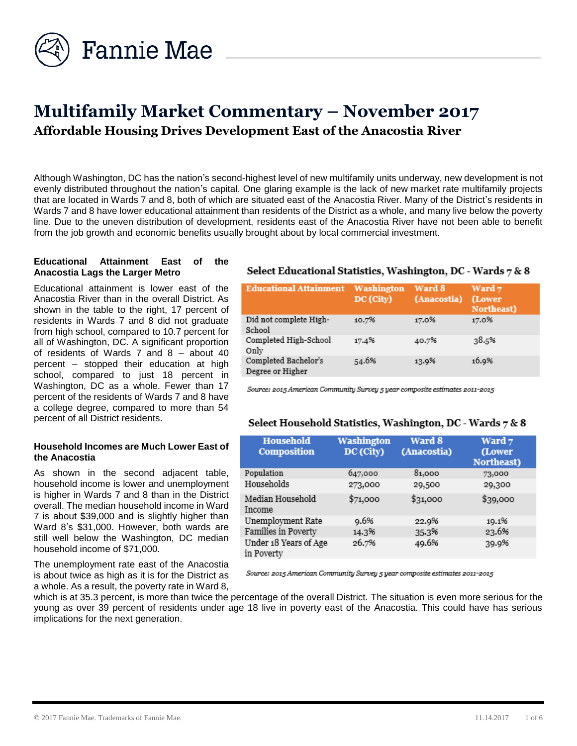

# **Multifamily Market Commentary – November 2017 Affordable Housing Drives Development East of the Anacostia River**

Although Washington, DC has the nation's second-highest level of new multifamily units underway, new development is not evenly distributed throughout the nation's capital. One glaring example is the lack of new market rate multifamily projects that are located in Wards 7 and 8, both of which are situated east of the Anacostia River. Many of the District's residents in Wards 7 and 8 have lower educational attainment than residents of the District as a whole, and many live below the poverty line. Due to the uneven distribution of development, residents east of the Anacostia River have not been able to benefit from the job growth and economic benefits usually brought about by local commercial investment.

#### **Educational Attainment East of the Anacostia Lags the Larger Metro**

Educational attainment is lower east of the Anacostia River than in the overall District. As shown in the table to the right, 17 percent of residents in Wards 7 and 8 did not graduate from high school, compared to 10.7 percent for all of Washington, DC. A significant proportion of residents of Wards 7 and 8 – about 40 percent – stopped their education at high school, compared to just 18 percent in Washington, DC as a whole. Fewer than 17 percent of the residents of Wards 7 and 8 have a college degree, compared to more than 54 percent of all District residents.

#### **Household Incomes are Much Lower East of the Anacostia**

As shown in the second adjacent table, household income is lower and unemployment is higher in Wards 7 and 8 than in the District overall. The median household income in Ward 7 is about \$39,000 and is slightly higher than Ward 8's \$31,000. However, both wards are still well below the Washington, DC median household income of \$71,000.

The unemployment rate east of the Anacostia is about twice as high as it is for the District as a whole. As a result, the poverty rate in Ward 8,

## Select Educational Statistics, Washington, DC - Wards 7 & 8

| <b>Educational Attainment</b>            | Washington<br>DC (City) | Ward 8<br>(Anacostia) | Ward 7<br>(Lower<br>Northeast) |
|------------------------------------------|-------------------------|-----------------------|--------------------------------|
| Did not complete High-<br>School         | 10.7%                   | 17.0%                 | 17.0%                          |
| Completed High-School<br>Only            | 17.4%                   | 40.7%                 | 38.5%                          |
| Completed Bachelor's<br>Degree or Higher | 54.6%                   | 13.9%                 | 16.9%                          |

Source: 2015 American Community Survey 5 year composite estimates 2011-2015

#### Select Household Statistics, Washington, DC - Wards 7 & 8

| <b>Household</b><br><b>Composition</b> | Washington<br>DC (City) | Ward 8<br>(Anacostia) | Ward 7<br>(Lower<br>Northeast) |
|----------------------------------------|-------------------------|-----------------------|--------------------------------|
| Population                             | 647,000                 | 81,000                | 73,000                         |
| Households                             | 273,000                 | 29,500                | 29,300                         |
| Median Household<br>Income             | \$71,000                | \$31,000              | \$39,000                       |
| Unemployment Rate                      | 9.6%                    | 22.9%                 | 19.1%                          |
| Families in Poverty                    | 14.3%                   | 35.3%                 | 23.6%                          |
| Under 18 Years of Age<br>in Poverty    | 26.7%                   | 49.6%                 | 39.9%                          |

Source: 2015 American Community Survey 5 year composite estimates 2011-2015

which is at 35.3 percent, is more than twice the percentage of the overall District. The situation is even more serious for the young as over 39 percent of residents under age 18 live in poverty east of the Anacostia. This could have has serious implications for the next generation.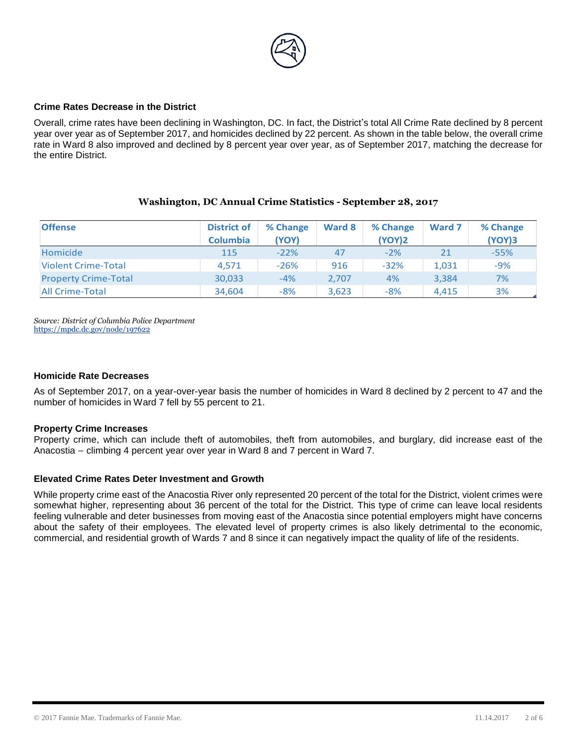

#### **Crime Rates Decrease in the District**

Overall, crime rates have been declining in Washington, DC. In fact, the District's total All Crime Rate declined by 8 percent year over year as of September 2017, and homicides declined by 22 percent. As shown in the table below, the overall crime rate in Ward 8 also improved and declined by 8 percent year over year, as of September 2017, matching the decrease for the entire District.

#### **Washington, DC Annual Crime Statistics - September 28, 2017**

| <b>Offense</b>              | <b>District of</b><br><b>Columbia</b> | % Change<br>(YOY) | Ward 8 | % Change<br><b>(YOY)2</b> | Ward 7 | % Change<br><b>(YOY)3</b> |
|-----------------------------|---------------------------------------|-------------------|--------|---------------------------|--------|---------------------------|
| Homicide                    | 115                                   | $-22%$            | 47     | $-2\%$                    |        | $-55%$                    |
| <b>Violent Crime-Total</b>  | 4.571                                 | $-26%$            | 916    | $-32%$                    | 1,031  | $-9%$                     |
| <b>Property Crime-Total</b> | 30,033                                | $-4%$             | 2.707  | 4%                        | 3.384  | 7%                        |
| <b>All Crime-Total</b>      | 34,604                                | $-8%$             | 3,623  | $-8%$                     | 4.415  | 3%                        |

*Source: District of Columbia Police Department*  <https://mpdc.dc.gov/node/197622>

#### **Homicide Rate Decreases**

As of September 2017, on a year-over-year basis the number of homicides in Ward 8 declined by 2 percent to 47 and the number of homicides in Ward 7 fell by 55 percent to 21.

#### **Property Crime Increases**

Property crime, which can include theft of automobiles, theft from automobiles, and burglary, did increase east of the Anacostia – climbing 4 percent year over year in Ward 8 and 7 percent in Ward 7.

#### **Elevated Crime Rates Deter Investment and Growth**

While property crime east of the Anacostia River only represented 20 percent of the total for the District, violent crimes were somewhat higher, representing about 36 percent of the total for the District. This type of crime can leave local residents feeling vulnerable and deter businesses from moving east of the Anacostia since potential employers might have concerns about the safety of their employees. The elevated level of property crimes is also likely detrimental to the economic, commercial, and residential growth of Wards 7 and 8 since it can negatively impact the quality of life of the residents.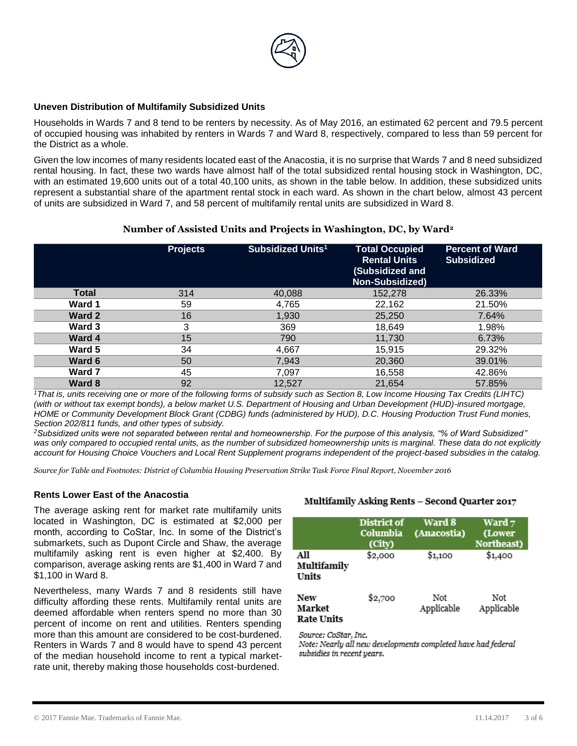

#### **Uneven Distribution of Multifamily Subsidized Units**

Households in Wards 7 and 8 tend to be renters by necessity. As of May 2016, an estimated 62 percent and 79.5 percent of occupied housing was inhabited by renters in Wards 7 and Ward 8, respectively, compared to less than 59 percent for the District as a whole.

Given the low incomes of many residents located east of the Anacostia, it is no surprise that Wards 7 and 8 need subsidized rental housing. In fact, these two wards have almost half of the total subsidized rental housing stock in Washington, DC, with an estimated 19,600 units out of a total 40,100 units, as shown in the table below. In addition, these subsidized units represent a substantial share of the apartment rental stock in each ward. As shown in the chart below, almost 43 percent of units are subsidized in Ward 7, and 58 percent of multifamily rental units are subsidized in Ward 8.

#### **Number of Assisted Units and Projects in Washington, DC, by Ward<sup>2</sup>**

|              | <b>Projects</b> | Subsidized Units <sup>1</sup> | <b>Total Occupied</b><br><b>Rental Units</b><br>(Subsidized and<br><b>Non-Subsidized)</b> | <b>Percent of Ward</b><br><b>Subsidized</b> |
|--------------|-----------------|-------------------------------|-------------------------------------------------------------------------------------------|---------------------------------------------|
| <b>Total</b> | 314             | 40,088                        | 152,278                                                                                   | 26.33%                                      |
| Ward 1       | 59              | 4,765                         | 22,162                                                                                    | 21.50%                                      |
| Ward 2       | 16              | 1,930                         | 25,250                                                                                    | 7.64%                                       |
| Ward 3       | 3               | 369                           | 18,649                                                                                    | 1.98%                                       |
| Ward 4       | 15              | 790                           | 11,730                                                                                    | 6.73%                                       |
| Ward 5       | 34              | 4,667                         | 15,915                                                                                    | 29.32%                                      |
| Ward 6       | 50              | 7,943                         | 20,360                                                                                    | 39.01%                                      |
| Ward 7       | 45              | 7.097                         | 16,558                                                                                    | 42.86%                                      |
| Ward 8       | 92              | 12,527                        | 21,654                                                                                    | 57.85%                                      |

*<sup>1</sup>That is, units receiving one or more of the following forms of subsidy such as Section 8, Low Income Housing Tax Credits (LIHTC) (with or without tax exempt bonds), a below market U.S. Department of Housing and Urban Development (HUD)-insured mortgage, HOME or Community Development Block Grant (CDBG) funds (administered by HUD), D.C. Housing Production Trust Fund monies, Section 202/811 funds, and other types of subsidy.* 

*<sup>2</sup>Subsidized units were not separated between rental and homeownership. For the purpose of this analysis, "% of Ward Subsidized"*  was only compared to occupied rental units, as the number of subsidized homeownership units is marginal. These data do not explicitly *account for Housing Choice Vouchers and Local Rent Supplement programs independent of the project-based subsidies in the catalog.*

*Source for Table and Footnotes: District of Columbia Housing Preservation Strike Task Force Final Report, November 2016*

#### **Rents Lower East of the Anacostia**

The average asking rent for market rate multifamily units located in Washington, DC is estimated at \$2,000 per month, according to CoStar, Inc. In some of the District's submarkets, such as Dupont Circle and Shaw, the average multifamily asking rent is even higher at \$2,400. By comparison, average asking rents are \$1,400 in Ward 7 and \$1,100 in Ward 8.

Nevertheless, many Wards 7 and 8 residents still have difficulty affording these rents. Multifamily rental units are deemed affordable when renters spend no more than 30 percent of income on rent and utilities. Renters spending more than this amount are considered to be cost-burdened. Renters in Wards 7 and 8 would have to spend 43 percent of the median household income to rent a typical marketrate unit, thereby making those households cost-burdened.

#### Multifamily Asking Rents - Second Quarter 2017

|                                    | District of<br>Columbia<br>(City) | Ward 8<br>(Anacostia) | Ward 7<br>(Lower<br>Northeast) |
|------------------------------------|-----------------------------------|-----------------------|--------------------------------|
| All<br>Multifamily<br>Units        | \$2,000                           | \$1,100               | \$1,400                        |
| New<br>Market<br><b>Rate Units</b> | \$2,700                           | Not<br>Applicable     | Not<br>Applicable              |

Source: CoStar, Inc.

Note: Nearly all new developments completed have had federal subsidies in recent years.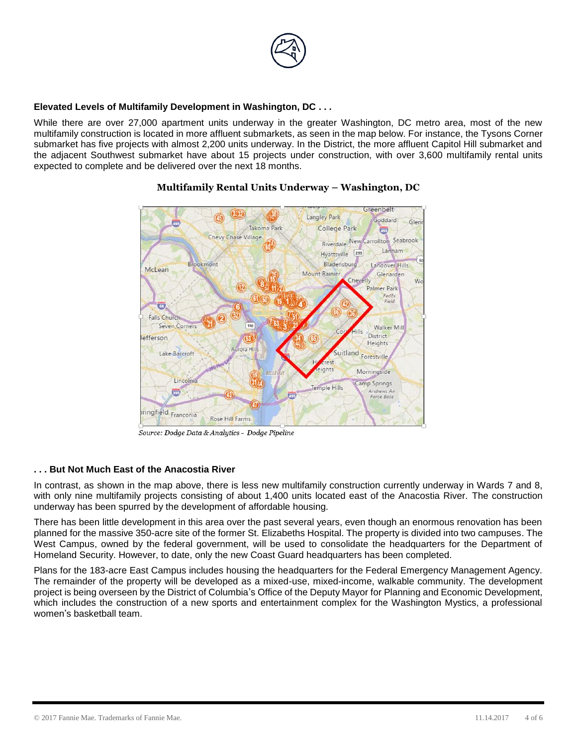

#### **Elevated Levels of Multifamily Development in Washington, DC . . .**

While there are over 27,000 apartment units underway in the greater Washington, DC metro area, most of the new multifamily construction is located in more affluent submarkets, as seen in the map below. For instance, the Tysons Corner submarket has five projects with almost 2,200 units underway. In the District, the more affluent Capitol Hill submarket and the adjacent Southwest submarket have about 15 projects under construction, with over 3,600 multifamily rental units expected to complete and be delivered over the next 18 months.



# **Multifamily Rental Units Underway – Washington, DC**

Source: Dodge Data & Analytics - Dodge Pipeline

## **. . . But Not Much East of the Anacostia River**

In contrast, as shown in the map above, there is less new multifamily construction currently underway in Wards 7 and 8, with only nine multifamily projects consisting of about 1,400 units located east of the Anacostia River. The construction underway has been spurred by the development of affordable housing.

There has been little development in this area over the past several years, even though an enormous renovation has been planned for the massive 350-acre site of the former St. Elizabeths Hospital. The property is divided into two campuses. The West Campus, owned by the federal government, will be used to consolidate the headquarters for the Department of Homeland Security. However, to date, only the new Coast Guard headquarters has been completed.

Plans for the 183-acre East Campus includes housing the headquarters for the Federal Emergency Management Agency. The remainder of the property will be developed as a mixed-use, mixed-income, walkable community. The development project is being overseen by the District of Columbia's Office of the Deputy Mayor for Planning and Economic Development, which includes the construction of a new sports and entertainment complex for the Washington Mystics, a professional women's basketball team.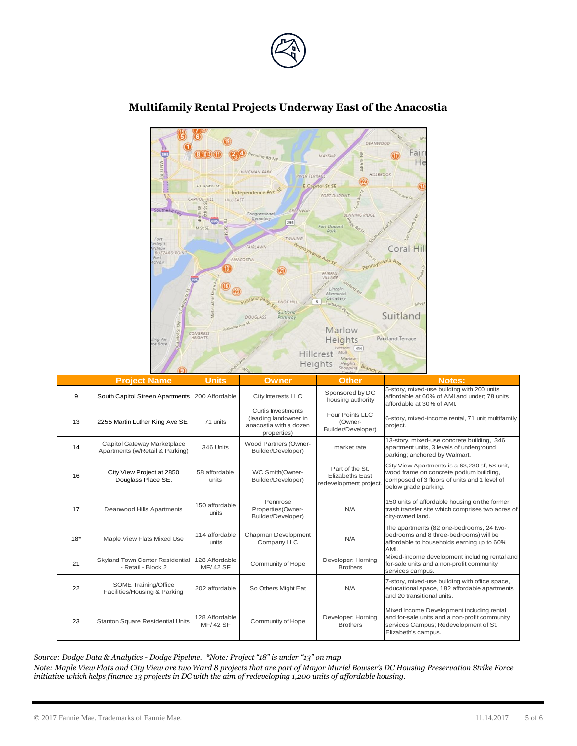



# **Multifamily Rental Projects Underway East of the Anacostia**

|       | <b>Project Name</b>                                            | <b>Units</b>                      | Owner                                                                                | <b>Other</b>                                                       | <b>Notes:</b>                                                                                                                                                    |
|-------|----------------------------------------------------------------|-----------------------------------|--------------------------------------------------------------------------------------|--------------------------------------------------------------------|------------------------------------------------------------------------------------------------------------------------------------------------------------------|
| 9     | South Capitol Streen Apartments                                | 200 Affordable                    | City Interests LLC                                                                   | Sponsored by DC<br>housing authority                               | 5-story, mixed-use building with 200 units<br>affordable at 60% of AMI and under; 78 units<br>affordable at 30% of AMI.                                          |
| 13    | 2255 Martin Luther King Ave SE                                 | 71 units                          | Curtis Investments<br>(leading landowner in<br>anacostia with a dozen<br>properties) | Four Points LLC<br>(Owner-<br>Builder/Developer)                   | 6-story, mixed-income rental, 71 unit multifamily<br>project.                                                                                                    |
| 14    | Capitol Gateway Marketplace<br>Apartments (w/Retail & Parking) | 346 Units                         | Wood Partners (Owner-<br>Builder/Developer)                                          | market rate                                                        | 13-story, mixed-use concrete building, 346<br>apartment units, 3 levels of underground<br>parking; anchored by Walmart.                                          |
| 16    | City View Project at 2850<br>Douglass Place SE.                | 58 affordable<br>units            | WC Smith(Owner-<br>Builder/Developer)                                                | Part of the St.<br><b>Elizabeths East</b><br>redevelopment project | City View Apartments is a 63,230 sf, 58-unit,<br>wood frame on concrete podium building,<br>composed of 3 floors of units and 1 level of<br>below grade parking. |
| 17    | Deanwood Hills Apartments                                      | 150 affordable<br>units           | Pennrose<br>Properties(Owner-<br>Builder/Developer)                                  | N/A                                                                | 150 units of affordable housing on the former<br>trash transfer site which comprises two acres of<br>city-owned land.                                            |
| $18*$ | Maple View Flats Mixed Use                                     | 114 affordable<br>units           | Chapman Development<br>Company LLC                                                   | N/A                                                                | The apartments (82 one-bedrooms, 24 two-<br>bedrooms and 8 three-bedrooms) will be<br>affordable to households earning up to 60%<br>AMI.                         |
| 21    | Skyland Town Center Residential<br>- Retail - Block 2          | 128 Affordable<br><b>MF/42 SF</b> | Community of Hope                                                                    | Developer: Horning<br><b>Brothers</b>                              | Mixed-income development including rental and<br>for-sale units and a non-profit community<br>services campus.                                                   |
| 22    | SOME Training/Office<br>Facilities/Housing & Parking           | 202 affordable                    | So Others Might Eat                                                                  | N/A                                                                | 7-story, mixed-use building with office space,<br>educational space, 182 affordable apartments<br>and 20 transitional units.                                     |
| 23    | Stanton Square Residential Units                               | 128 Affordable<br><b>MF/42 SF</b> | Community of Hope                                                                    | Developer: Horning<br><b>Brothers</b>                              | Mixed Income Development including rental<br>and for-sale units and a non-profit community<br>services Campus; Redevelopment of St.<br>Elizabeth's campus.       |

*Note: Maple View Flats and City View are two Ward 8 projects that are part of Mayor Muriel Bowser's DC Housing Preservation Strike Force*